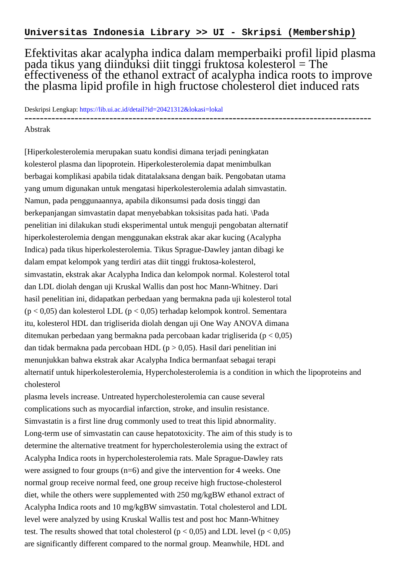Efektivitas akar acalypha indica dalam memperbaiki profil lipid plasma pada tikus yang diinduksi diit tinggi fruktosa kolesterol = The effectiveness of the ethanol extract of acalypha indica roots to improve the plasma lipid profile in high fructose cholesterol diet induced rats

Deskripsi Lengkap:<https://lib.ui.ac.id/detail?id=20421312&lokasi=lokal> ------------------------------------------------------------------------------------------

## Abstrak

[Hiperkolesterolemia merupakan suatu kondisi dimana terjadi peningkatan kolesterol plasma dan lipoprotein. Hiperkolesterolemia dapat menimbulkan berbagai komplikasi apabila tidak ditatalaksana dengan baik. Pengobatan utama yang umum digunakan untuk mengatasi hiperkolesterolemia adalah simvastatin. Namun, pada penggunaannya, apabila dikonsumsi pada dosis tinggi dan berkepanjangan simvastatin dapat menyebabkan toksisitas pada hati. \Pada penelitian ini dilakukan studi eksperimental untuk menguji pengobatan alternatif hiperkolesterolemia dengan menggunakan ekstrak akar akar kucing (Acalypha Indica) pada tikus hiperkolesterolemia. Tikus Sprague-Dawley jantan dibagi ke dalam empat kelompok yang terdiri atas diit tinggi fruktosa-kolesterol, simvastatin, ekstrak akar Acalypha Indica dan kelompok normal. Kolesterol total dan LDL diolah dengan uji Kruskal Wallis dan post hoc Mann-Whitney. Dari hasil penelitian ini, didapatkan perbedaan yang bermakna pada uji kolesterol total (p < 0,05) dan kolesterol LDL (p < 0,05) terhadap kelompok kontrol. Sementara itu, kolesterol HDL dan trigliserida diolah dengan uji One Way ANOVA dimana ditemukan perbedaan yang bermakna pada percobaan kadar trigliserida (p < 0,05) dan tidak bermakna pada percobaan HDL ( $p > 0.05$ ). Hasil dari penelitian ini menunjukkan bahwa ekstrak akar Acalypha Indica bermanfaat sebagai terapi alternatif untuk hiperkolesterolemia, Hypercholesterolemia is a condition in which the lipoproteins and cholesterol

plasma levels increase. Untreated hypercholesterolemia can cause several complications such as myocardial infarction, stroke, and insulin resistance. Simvastatin is a first line drug commonly used to treat this lipid abnormality. Long-term use of simvastatin can cause hepatotoxicity. The aim of this study is to determine the alternative treatment for hypercholesterolemia using the extract of Acalypha Indica roots in hypercholesterolemia rats. Male Sprague-Dawley rats were assigned to four groups (n=6) and give the intervention for 4 weeks. One normal group receive normal feed, one group receive high fructose-cholesterol diet, while the others were supplemented with 250 mg/kgBW ethanol extract of Acalypha Indica roots and 10 mg/kgBW simvastatin. Total cholesterol and LDL level were analyzed by using Kruskal Wallis test and post hoc Mann-Whitney test. The results showed that total cholesterol ( $p < 0.05$ ) and LDL level ( $p < 0.05$ ) are significantly different compared to the normal group. Meanwhile, HDL and